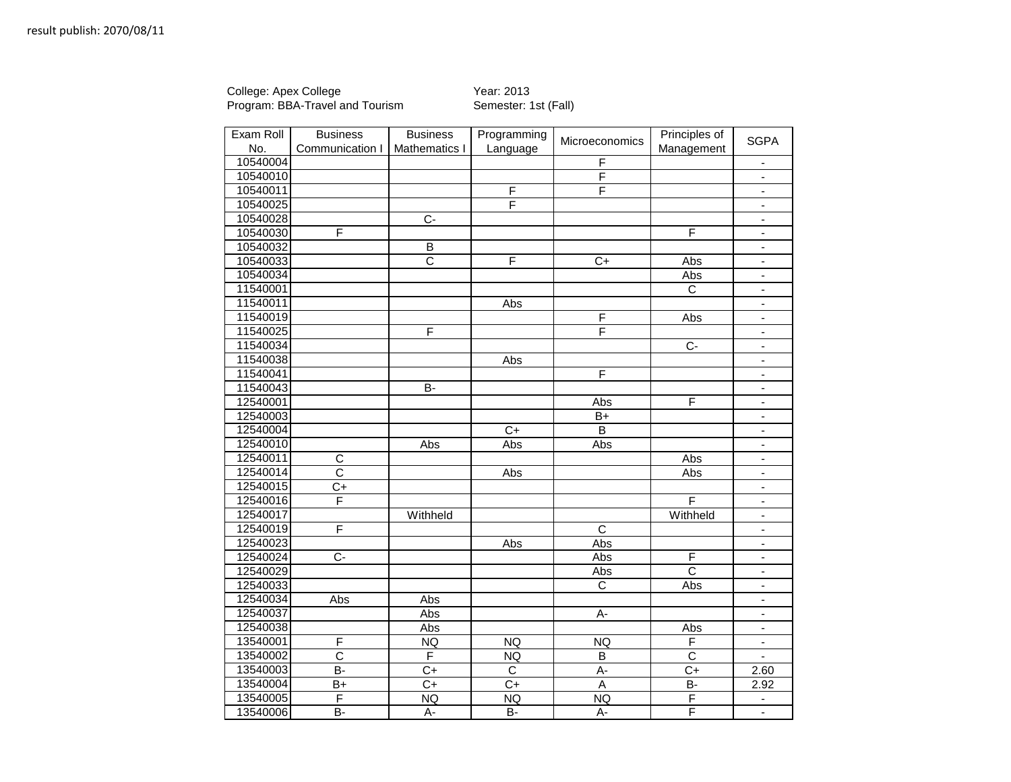College: Apex College **Year: 2013** Program: BBA-Travel and Tourism Semester: 1st (Fall)

| Exam Roll | <b>Business</b>       | <b>Business</b>       | Programming             | Microeconomics          | Principles of         | <b>SGPA</b>              |
|-----------|-----------------------|-----------------------|-------------------------|-------------------------|-----------------------|--------------------------|
| No.       | Communication I       | Mathematics I         | Language                |                         | Management            |                          |
| 10540004  |                       |                       |                         | $\overline{F}$          |                       | $\blacksquare$           |
| 10540010  |                       |                       |                         | F                       |                       | $\blacksquare$           |
| 10540011  |                       |                       | $\overline{\mathsf{F}}$ | F                       |                       | $\overline{\phantom{a}}$ |
| 10540025  |                       |                       | F                       |                         |                       |                          |
| 10540028  |                       | $\overline{C}$        |                         |                         |                       | $\blacksquare$           |
| 10540030  | F                     |                       |                         |                         | $\overline{F}$        | $\overline{\phantom{a}}$ |
| 10540032  |                       | $\overline{B}$        |                         |                         |                       | $\blacksquare$           |
| 10540033  |                       | $\overline{\text{c}}$ | F                       | $\overline{C}$          | Abs                   | $\blacksquare$           |
| 10540034  |                       |                       |                         |                         | Abs                   | ÷.                       |
| 11540001  |                       |                       |                         |                         | $\overline{C}$        | $\blacksquare$           |
| 11540011  |                       |                       | Abs                     |                         |                       | $\blacksquare$           |
| 11540019  |                       |                       |                         | F                       | Abs                   | $\blacksquare$           |
| 11540025  |                       | F                     |                         | F                       |                       | $\frac{1}{2}$            |
| 11540034  |                       |                       |                         |                         | $\overline{C}$        | $\overline{\phantom{a}}$ |
| 11540038  |                       |                       | Abs                     |                         |                       | $\overline{\phantom{a}}$ |
| 11540041  |                       |                       |                         | F                       |                       | $\blacksquare$           |
| 11540043  |                       | $\overline{B}$        |                         |                         |                       | $\blacksquare$           |
| 12540001  |                       |                       |                         | Abs                     | F                     | $\blacksquare$           |
| 12540003  |                       |                       |                         | B+                      |                       | $\blacksquare$           |
| 12540004  |                       |                       | $\overline{C}_{+}$      | B                       |                       | $\blacksquare$           |
| 12540010  |                       | Abs                   | Abs                     | Abs                     |                       | $\blacksquare$           |
| 12540011  | $\overline{C}$        |                       |                         |                         | Abs                   | ÷,                       |
| 12540014  | C                     |                       | Abs                     |                         | Abs                   | $\blacksquare$           |
| 12540015  | C+                    |                       |                         |                         |                       | $\overline{\phantom{a}}$ |
| 12540016  | F                     |                       |                         |                         | F                     | $\overline{\phantom{a}}$ |
| 12540017  |                       | Withheld              |                         |                         | Withheld              | ä,                       |
| 12540019  | F                     |                       |                         | $\overline{\mathsf{c}}$ |                       | $\blacksquare$           |
| 12540023  |                       |                       | Abs                     | Abs                     |                       | $\overline{\phantom{a}}$ |
| 12540024  | $\overline{C}$        |                       |                         | Abs                     | F                     | $\blacksquare$           |
| 12540029  |                       |                       |                         | Abs                     | $\overline{\rm c}$    | ÷,                       |
| 12540033  |                       |                       |                         | $\overline{c}$          | Abs                   | $\blacksquare$           |
| 12540034  | Abs                   | Abs                   |                         |                         |                       | $\overline{\phantom{a}}$ |
| 12540037  |                       | Abs                   |                         | $A -$                   |                       | $\blacksquare$           |
| 12540038  |                       | Abs                   |                         |                         | Abs                   | $\blacksquare$           |
| 13540001  | F                     | <b>NQ</b>             | <b>NQ</b>               | NQ                      | F                     | $\blacksquare$           |
| 13540002  | $\overline{\text{c}}$ | F                     | <b>NQ</b>               | $\overline{B}$          | $\overline{\text{c}}$ | $\blacksquare$           |
| 13540003  | B-                    | C+                    | $\overline{C}$          | A-                      | $C+$                  | 2.60                     |
| 13540004  | $\overline{B+}$       | $\overline{C}$        | $\overline{C+}$         | $\overline{A}$          | $\overline{B}$        | 2.92                     |
| 13540005  | F                     | <b>NQ</b>             | NQ                      | NQ                      | $\overline{F}$        |                          |
| 13540006  | B-                    | А-                    | $\overline{B}$          | A-                      | F                     | $\overline{\phantom{a}}$ |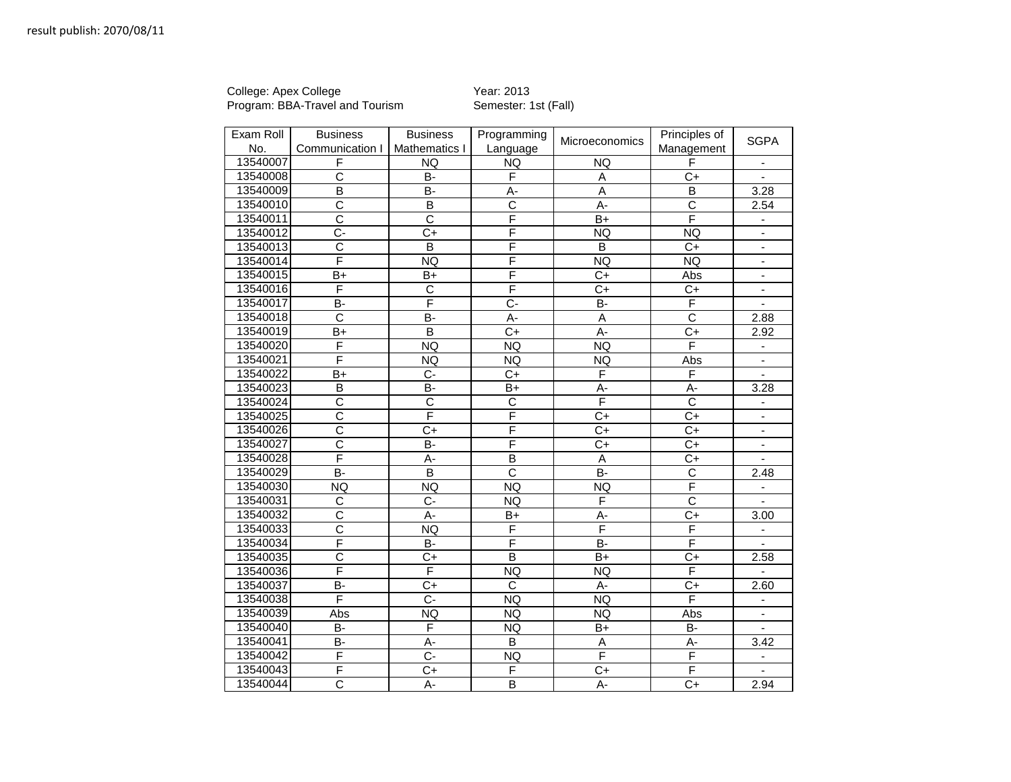College: Apex College **Year: 2013** Program: BBA-Travel and Tourism Semester: 1st (Fall)

| Exam Roll | <b>Business</b>         | <b>Business</b>         | Programming             | Microeconomics          | Principles of           | <b>SGPA</b>                 |
|-----------|-------------------------|-------------------------|-------------------------|-------------------------|-------------------------|-----------------------------|
| No.       | Communication I         | Mathematics I           | Language                |                         | Management              |                             |
| 13540007  | F                       | <b>NQ</b>               | NQ                      | <b>NQ</b>               | F                       |                             |
| 13540008  | $\overline{\text{c}}$   | <b>B-</b>               | F                       | A                       | $C+$                    |                             |
| 13540009  | $\overline{B}$          | $\overline{B}$          | $\overline{A}$ -        | $\overline{A}$          | $\overline{B}$          | 3.28                        |
| 13540010  | $\overline{\text{c}}$   | B                       | $\overline{C}$          | A-                      | $\overline{\text{c}}$   | 2.54                        |
| 13540011  | $\overline{\text{c}}$   | $\overline{\text{c}}$   | $\overline{\mathsf{F}}$ | $B+$                    | F                       | $\blacksquare$              |
| 13540012  | $C -$                   | $C+$                    | F                       | <b>NQ</b>               | <b>NQ</b>               | $\blacksquare$              |
| 13540013  | $\overline{\text{c}}$   | $\overline{\mathsf{B}}$ | F                       | $\overline{B}$          | $C+$                    | $\blacksquare$              |
| 13540014  | F                       | <b>NQ</b>               | $\overline{\mathsf{F}}$ | NQ                      | NQ                      | $\blacksquare$              |
| 13540015  | B+                      | $B+$                    | $\overline{\mathsf{F}}$ | $C+$                    | Abs                     | $\blacksquare$              |
| 13540016  | F                       | $\overline{\text{c}}$   | F                       | $\overline{C}$          | $C+$                    | $\mathcal{L}^{\mathcal{L}}$ |
| 13540017  | B-                      | F                       | $\overline{C}$          | B-                      | $\overline{F}$          | $\blacksquare$              |
| 13540018  | C                       | B-                      | A-                      | A                       | $\overline{\text{c}}$   | 2.88                        |
| 13540019  | B+                      | B                       | $C+$                    | A-                      | $C+$                    | 2.92                        |
| 13540020  | F                       | NQ                      | <b>NQ</b>               | NQ                      | $\overline{\mathsf{F}}$ | $\blacksquare$              |
| 13540021  | F                       | <b>NQ</b>               | <b>NQ</b>               | <b>NQ</b>               | Abs                     | $\blacksquare$              |
| 13540022  | B+                      | $C -$                   | C+                      | F                       | F                       |                             |
| 13540023  | B                       | B-                      | $B+$                    | A-                      | A-                      | 3.28                        |
| 13540024  | $\overline{\text{c}}$   | $\overline{\text{c}}$   | $\overline{C}$          | F                       | $\overline{\text{c}}$   | $\blacksquare$              |
| 13540025  | $\overline{\text{c}}$   | F                       | $\overline{\mathsf{F}}$ | $C+$                    | $C+$                    | $\overline{\phantom{a}}$    |
| 13540026  | C                       | C+                      | F                       | $C+$                    | $C+$                    | $\blacksquare$              |
| 13540027  | $\overline{\text{c}}$   | B-                      | F                       | $\overline{C}$ +        | $\overline{C+}$         | $\omega$                    |
| 13540028  | F                       | A-                      | $\overline{B}$          | $\overline{A}$          | $\overline{C}$          | $\blacksquare$              |
| 13540029  | B-                      | $\overline{B}$          | $\overline{\text{c}}$   | $\overline{B}$          | $\overline{C}$          | 2.48                        |
| 13540030  | <b>NQ</b>               | <b>NQ</b>               | <b>NQ</b>               | <b>NQ</b>               | F                       | $\blacksquare$              |
| 13540031  | $\overline{\text{c}}$   | $C -$                   | <b>NQ</b>               | F                       | $\overline{\text{c}}$   | $\mathbf{r}$                |
| 13540032  | $\overline{\text{c}}$   | A-                      | $B+$                    | A-                      | $C+$                    | 3.00                        |
| 13540033  | C                       | <b>NQ</b>               | F                       | F                       | F                       | $\overline{\phantom{a}}$    |
| 13540034  | F                       | B-                      | F                       | $\overline{B}$          | $\overline{\mathsf{F}}$ | $\mathbf{r}$                |
| 13540035  | $\overline{\text{c}}$   | $\overline{C}$          | $\overline{B}$          | $B+$                    | $\overline{C+}$         | 2.58                        |
| 13540036  | F                       | F                       | <b>NQ</b>               | <b>NQ</b>               | F                       |                             |
| 13540037  | <b>B-</b>               | $C+$                    | C                       | $A -$                   | $C+$                    | 2.60                        |
| 13540038  | $\overline{\mathsf{F}}$ | C-                      | NQ                      | NQ                      | F                       | $\blacksquare$              |
| 13540039  | Abs                     | <b>NQ</b>               | <b>NQ</b>               | <b>NQ</b>               | Abs                     | $\blacksquare$              |
| 13540040  | B-                      | F                       | <b>NQ</b>               | B+                      | B-                      | $\blacksquare$              |
| 13540041  | B-                      | A-                      | B                       | A                       | A-                      | 3.42                        |
| 13540042  | F                       | $\overline{C}$ -        | NQ                      | $\overline{\mathsf{F}}$ | $\overline{\mathsf{F}}$ | $\overline{\phantom{a}}$    |
| 13540043  | F                       | C+                      | F                       | $C+$                    | F                       |                             |
| 13540044  | $\overline{\text{c}}$   | A-                      | $\overline{B}$          | A-                      | $C+$                    | 2.94                        |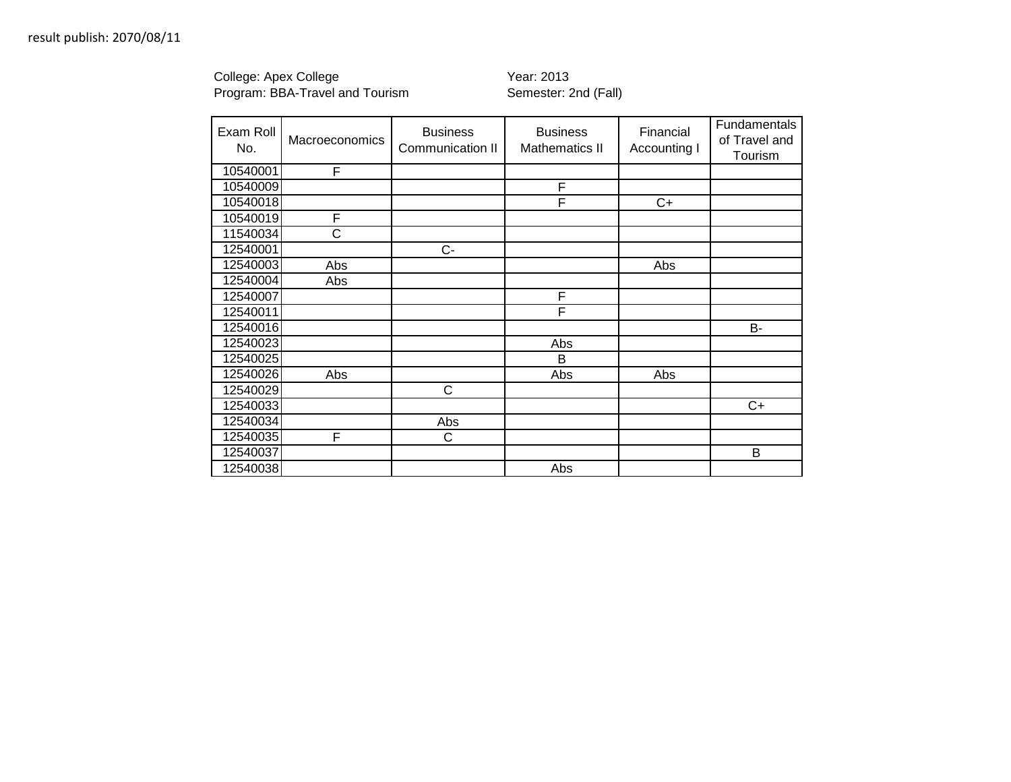College: Apex College **Year: 2013** Program: BBA-Travel and Tourism Semester: 2nd (Fall)

| Exam Roll<br>No. | Macroeconomics | <b>Business</b><br>Communication II | <b>Business</b><br><b>Mathematics II</b> | Financial<br>Accounting I | Fundamentals<br>of Travel and<br>Tourism |
|------------------|----------------|-------------------------------------|------------------------------------------|---------------------------|------------------------------------------|
| 10540001         | F              |                                     |                                          |                           |                                          |
| 10540009         |                |                                     | F                                        |                           |                                          |
| 10540018         |                |                                     | F                                        | $C+$                      |                                          |
| 10540019         | F              |                                     |                                          |                           |                                          |
| 11540034         | Ć              |                                     |                                          |                           |                                          |
| 12540001         |                | $C -$                               |                                          |                           |                                          |
| 12540003         | Abs            |                                     |                                          | Abs                       |                                          |
| 12540004         | Abs            |                                     |                                          |                           |                                          |
| 12540007         |                |                                     | F                                        |                           |                                          |
| 12540011         |                |                                     | F                                        |                           |                                          |
| 12540016         |                |                                     |                                          |                           | <b>B-</b>                                |
| 12540023         |                |                                     | Abs                                      |                           |                                          |
| 12540025         |                |                                     | B                                        |                           |                                          |
| 12540026         | Abs            |                                     | Abs                                      | Abs                       |                                          |
| 12540029         |                | C                                   |                                          |                           |                                          |
| 12540033         |                |                                     |                                          |                           | C+                                       |
| 12540034         |                | Abs                                 |                                          |                           |                                          |
| 12540035         | F              | C                                   |                                          |                           |                                          |
| 12540037         |                |                                     |                                          |                           | B                                        |
| 12540038         |                |                                     | Abs                                      |                           |                                          |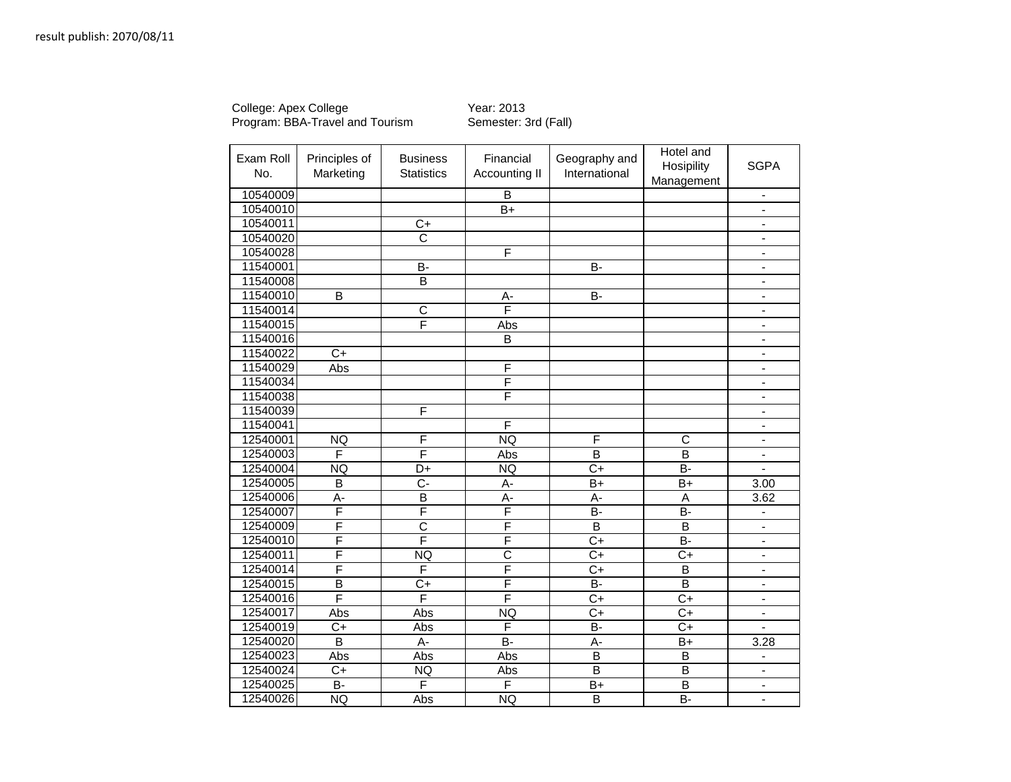College: Apex College **The College College College Year: 2013** Program: BBA-Travel and Tourism Semester: 3rd (Fall)

| Exam Roll<br>No. | Principles of<br>Marketing | <b>Business</b><br><b>Statistics</b> | Financial<br><b>Accounting II</b> | Geography and<br>International | Hotel and<br>Hosipility<br>Management | <b>SGPA</b>                  |
|------------------|----------------------------|--------------------------------------|-----------------------------------|--------------------------------|---------------------------------------|------------------------------|
| 10540009         |                            |                                      | B                                 |                                |                                       | $\overline{a}$               |
| 10540010         |                            |                                      | $B+$                              |                                |                                       | ä,                           |
| 10540011         |                            | $C+$                                 |                                   |                                |                                       | $\blacksquare$               |
| 10540020         |                            | $\overline{\text{c}}$                |                                   |                                |                                       | $\blacksquare$               |
| 10540028         |                            |                                      | F                                 |                                |                                       | $\qquad \qquad \blacksquare$ |
| 11540001         |                            | $B -$                                |                                   | $\overline{B}$                 |                                       | $\blacksquare$               |
| 11540008         |                            | B                                    |                                   |                                |                                       | ä,                           |
| 11540010         | $\overline{B}$             |                                      | A-                                | $\overline{B}$                 |                                       | $\qquad \qquad \blacksquare$ |
| 11540014         |                            | $\overline{\text{c}}$                | F                                 |                                |                                       | $\blacksquare$               |
| 11540015         |                            | F                                    | Abs                               |                                |                                       | $\blacksquare$               |
| 11540016         |                            |                                      | $\overline{B}$                    |                                |                                       | $\qquad \qquad \blacksquare$ |
| 11540022         | $\overline{C+}$            |                                      |                                   |                                |                                       | $\overline{a}$               |
| 11540029         | Abs                        |                                      | F                                 |                                |                                       | $\blacksquare$               |
| 11540034         |                            |                                      | F                                 |                                |                                       | $\blacksquare$               |
| 11540038         |                            |                                      | F                                 |                                |                                       | $\blacksquare$               |
| 11540039         |                            | F                                    |                                   |                                |                                       | $\qquad \qquad \blacksquare$ |
| 11540041         |                            |                                      | F                                 |                                |                                       | $\qquad \qquad \blacksquare$ |
| 12540001         | <b>NQ</b>                  | F                                    | <b>NQ</b>                         | F                              | C                                     | $\qquad \qquad \blacksquare$ |
| 12540003         | F                          | F                                    | Abs                               | $\overline{\mathsf{B}}$        | B                                     | $\blacksquare$               |
| 12540004         | <b>NQ</b>                  | $\overline{D+}$                      | NQ                                | $\overline{C+}$                | $\overline{B}$ -                      |                              |
| 12540005         | B                          | $C -$                                | A-                                | $B+$                           | $B+$                                  | 3.00                         |
| 12540006         | $\overline{A}$ -           | $\overline{B}$                       | A-                                | $A -$                          | A                                     | 3.62                         |
| 12540007         | F                          | F                                    | F                                 | $\overline{B}$                 | $\overline{B}$                        | $\blacksquare$               |
| 12540009         | F                          | $\overline{\text{c}}$                | F                                 | B                              | B                                     | $\blacksquare$               |
| 12540010         | F                          | F                                    | $\overline{\mathsf{F}}$           | $\overline{C+}$                | $\overline{B}$                        | ä,                           |
| 12540011         | F                          | <b>NQ</b>                            | $\overline{\text{c}}$             | $C+$                           | $C+$                                  | ä,                           |
| 12540014         | F                          | F                                    | F                                 | $C+$                           | B                                     | $\blacksquare$               |
| 12540015         | $\overline{B}$             | $C+$                                 | F                                 | B-                             | $\overline{B}$                        | $\blacksquare$               |
| 12540016         | F                          | F                                    | $\overline{\mathsf{F}}$           | $C+$                           | $C+$                                  | $\blacksquare$               |
| 12540017         | Abs                        | Abs                                  | <b>NQ</b>                         | $C+$                           | $\overline{C}$                        | $\qquad \qquad \blacksquare$ |
| 12540019         | $\overline{C}$             | Abs                                  | F                                 | $\overline{B}$                 | $\overline{C}$                        |                              |
| 12540020         | $\overline{\mathsf{B}}$    | $\overline{A}$                       | <b>B-</b>                         | A-                             | $B+$                                  | 3.28                         |
| 12540023         | Abs                        | Abs                                  | Abs                               | $\overline{\mathsf{B}}$        | $\overline{B}$                        | $\qquad \qquad \blacksquare$ |
| 12540024         | $\overline{C}$             | <b>NQ</b>                            | Abs                               | $\overline{\mathsf{B}}$        | $\overline{\mathsf{B}}$               | $\blacksquare$               |
| 12540025         | $\overline{B}$             | F                                    | F                                 | $B+$                           | $\overline{\mathsf{B}}$               | $\blacksquare$               |
| 12540026         | <b>NQ</b>                  | Abs                                  | <b>NQ</b>                         | $\overline{\mathsf{B}}$        | $\overline{B}$                        | $\qquad \qquad \blacksquare$ |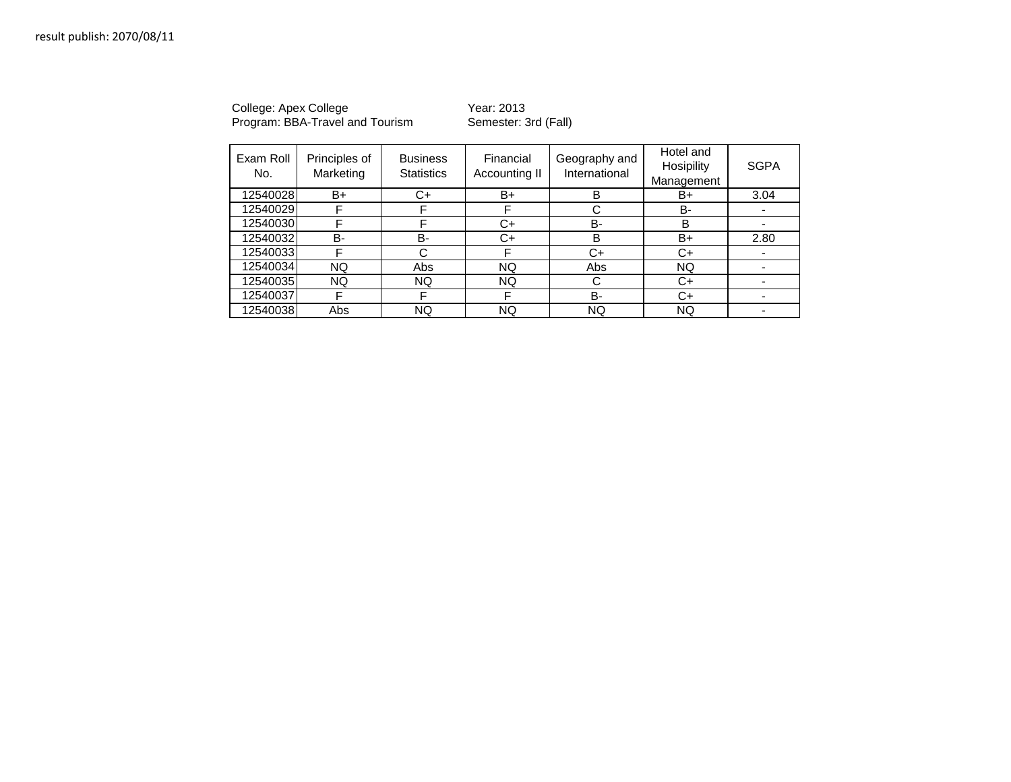College: Apex College **The College College College Year: 2013** Program: BBA-Travel and Tourism Semester: 3rd (Fall)

| Exam Roll<br>No. | Principles of<br>Marketing | <b>Business</b><br><b>Statistics</b> | Financial<br>Accounting II | Geography and<br>International | Hotel and<br>Hosipility<br>Management | <b>SGPA</b> |
|------------------|----------------------------|--------------------------------------|----------------------------|--------------------------------|---------------------------------------|-------------|
| 12540028         | B+                         | C+                                   | B+                         | B                              | B+                                    | 3.04        |
| 12540029         | F                          | F                                    | F                          | С                              | B-                                    |             |
| 12540030         | F                          | F                                    | C+                         | B-                             | B                                     |             |
| 12540032         | <b>B-</b>                  | B-                                   | C+                         | B                              | B+                                    | 2.80        |
| 12540033         | F                          | C                                    | F                          | C+                             | C+                                    |             |
| 12540034         | <b>NQ</b>                  | Abs                                  | NQ                         | Abs                            | <b>NQ</b>                             |             |
| 12540035         | NQ.                        | NQ.                                  | <b>NQ</b>                  | С                              | C+                                    |             |
| 12540037         | F                          | F                                    | F                          | B-                             | C+                                    |             |
| 12540038         | Abs                        | <b>NQ</b>                            | ΝQ                         | <b>NQ</b>                      | NQ                                    |             |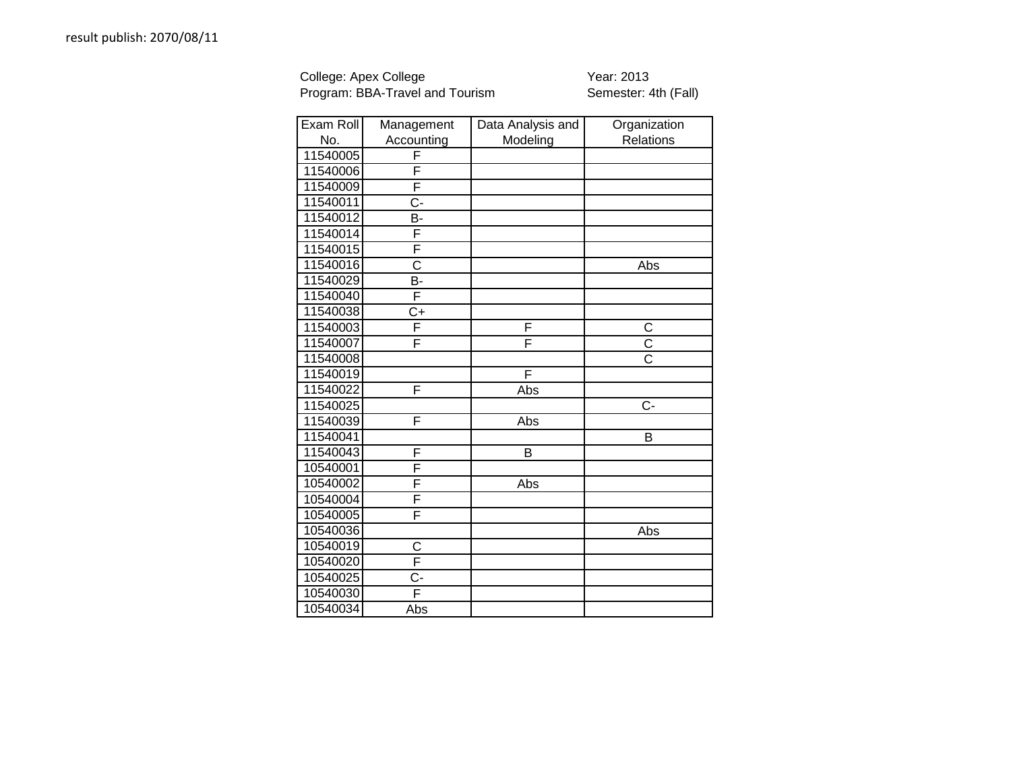College: Apex College **Year: 2013** Program: BBA-Travel and Tourism Semester: 4th (Fall)

| Exam Roll | Management              | Data Analysis and | Organization          |
|-----------|-------------------------|-------------------|-----------------------|
| No.       | Accounting              | Modeling          | Relations             |
| 11540005  | F                       |                   |                       |
| 11540006  | F                       |                   |                       |
| 11540009  | $\overline{\mathsf{F}}$ |                   |                       |
| 11540011  | $C -$                   |                   |                       |
| 11540012  | В-                      |                   |                       |
| 11540014  | F                       |                   |                       |
| 11540015  | F                       |                   |                       |
| 11540016  | $\overline{\text{c}}$   |                   | Abs                   |
| 11540029  | B-                      |                   |                       |
| 11540040  | F                       |                   |                       |
| 11540038  | C+                      |                   |                       |
| 11540003  | F                       | F                 | C                     |
| 11540007  | F                       | F                 | $\overline{C}$        |
| 11540008  |                         |                   | $\overline{\text{c}}$ |
| 11540019  |                         | F                 |                       |
| 11540022  | F                       | Abs               |                       |
| 11540025  |                         |                   | Ċ-                    |
| 11540039  | F                       | Abs               |                       |
| 11540041  |                         |                   | B                     |
| 11540043  | F                       | B                 |                       |
| 10540001  | F                       |                   |                       |
| 10540002  | F                       | Abs               |                       |
| 10540004  | F                       |                   |                       |
| 10540005  | F                       |                   |                       |
| 10540036  |                         |                   | Abs                   |
| 10540019  | C                       |                   |                       |
| 10540020  | F                       |                   |                       |
| 10540025  | $rac{C}{F}$             |                   |                       |
| 10540030  |                         |                   |                       |
| 10540034  | Abs                     |                   |                       |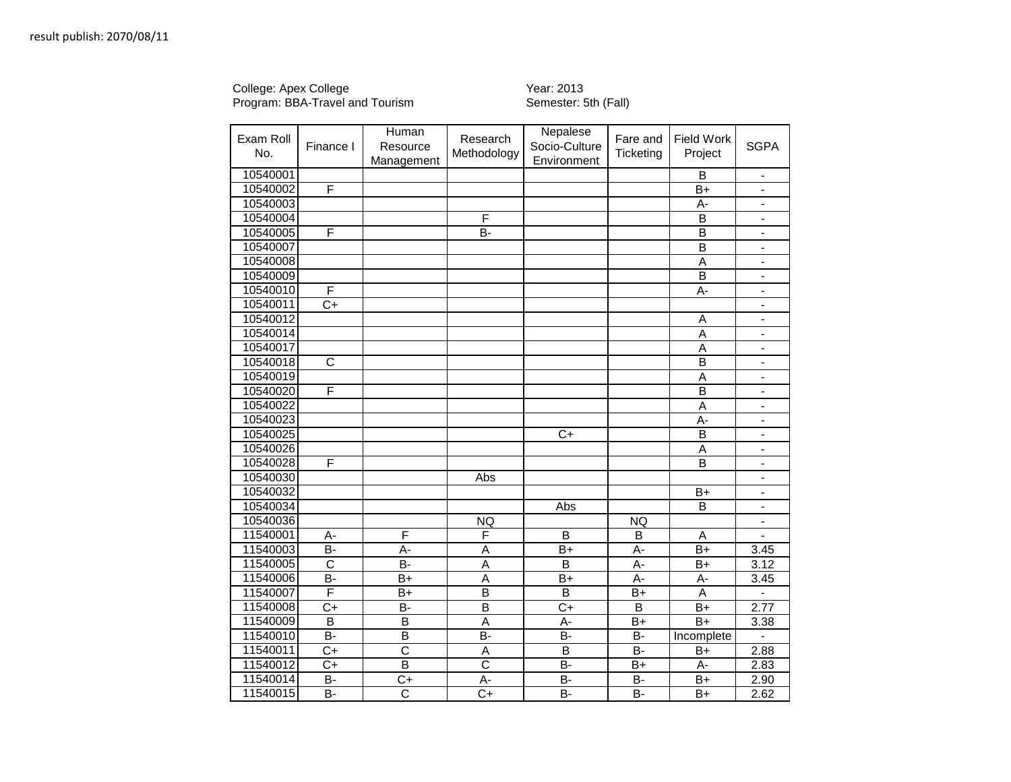## College: Apex College New Year: 2013 Program: BBA-Travel and Tourism Semester: 5th (Fall)

| Exam Roll<br>No. | Finance I               | Human<br>Resource<br>Management | Research<br>Methodology | Nepalese<br>Socio-Culture<br>Environment | Fare and<br>Ticketing | <b>Field Work</b><br>Project | <b>SGPA</b>                  |
|------------------|-------------------------|---------------------------------|-------------------------|------------------------------------------|-----------------------|------------------------------|------------------------------|
| 10540001         |                         |                                 |                         |                                          |                       | B                            | $\blacksquare$               |
| 10540002         | F                       |                                 |                         |                                          |                       | $B+$                         | $\overline{\phantom{a}}$     |
| 10540003         |                         |                                 |                         |                                          |                       | А-                           | $\qquad \qquad \blacksquare$ |
| 10540004         |                         |                                 | F                       |                                          |                       | B                            | $\blacksquare$               |
| 10540005         | F                       |                                 | $\overline{B}$          |                                          |                       | $\overline{B}$               | $\blacksquare$               |
| 10540007         |                         |                                 |                         |                                          |                       | $\overline{B}$               | $\overline{\phantom{a}}$     |
| 10540008         |                         |                                 |                         |                                          |                       | A                            |                              |
| 10540009         |                         |                                 |                         |                                          |                       | $\overline{B}$               | $\blacksquare$               |
| 10540010         | F                       |                                 |                         |                                          |                       | A-                           | $\blacksquare$               |
| 10540011         | C+                      |                                 |                         |                                          |                       |                              | $\blacksquare$               |
| 10540012         |                         |                                 |                         |                                          |                       | A                            | $\blacksquare$               |
| 10540014         |                         |                                 |                         |                                          |                       | A                            | $\blacksquare$               |
| 10540017         |                         |                                 |                         |                                          |                       | $\overline{A}$               | $\blacksquare$               |
| 10540018         | $\overline{\text{c}}$   |                                 |                         |                                          |                       | $\overline{B}$               | $\qquad \qquad \blacksquare$ |
| 10540019         |                         |                                 |                         |                                          |                       | $\overline{A}$               | $\blacksquare$               |
| 10540020         | F                       |                                 |                         |                                          |                       | $\overline{B}$               | $\blacksquare$               |
| 10540022         |                         |                                 |                         |                                          |                       | A                            | $\blacksquare$               |
| 10540023         |                         |                                 |                         |                                          |                       | A-                           | $\qquad \qquad \blacksquare$ |
| 10540025         |                         |                                 |                         | $\overline{C+}$                          |                       | $\overline{B}$               | $\blacksquare$               |
| 10540026         |                         |                                 |                         |                                          |                       | $\overline{A}$               | $\blacksquare$               |
| 10540028         | $\overline{\mathsf{F}}$ |                                 |                         |                                          |                       | $\overline{B}$               | $\blacksquare$               |
| 10540030         |                         |                                 | Abs                     |                                          |                       |                              |                              |
| 10540032         |                         |                                 |                         |                                          |                       | $B+$                         | $\blacksquare$               |
| 10540034         |                         |                                 |                         | Abs                                      |                       | B                            | $\blacksquare$               |
| 10540036         |                         |                                 | <b>NQ</b>               |                                          | <b>NQ</b>             |                              | $\qquad \qquad \blacksquare$ |
| 11540001         | А-                      | F                               | F                       | B                                        | в                     | A                            |                              |
| 11540003         | B-                      | A-                              | A                       | $\overline{B+}$                          | A-                    | $\overline{B+}$              | 3.45                         |
| 11540005         | $\overline{\text{c}}$   | $\overline{B}$                  | Ā                       | B                                        | А-                    | $\overline{B+}$              | 3.12                         |
| 11540006         | B-                      | $B+$                            | $\overline{A}$          | $B+$                                     | А-                    | А-                           | 3.45                         |
| 11540007         | F                       | $B+$                            | $\overline{B}$          | B                                        | $B+$                  | A                            | L.                           |
| 11540008         | $C+$                    | B-                              | $\overline{\mathsf{B}}$ | $C+$                                     | B                     | $B+$                         | 2.77                         |
| 11540009         | $\overline{B}$          | $\overline{B}$                  | A                       | A-                                       | $B+$                  | $B+$                         | 3.38                         |
| 11540010         | <b>B-</b>               | B                               | B-                      | B-                                       | B-                    | Incomplete                   |                              |
| 11540011         | $C+$                    | $\overline{\text{c}}$           | Α                       | B                                        | B-                    | B+                           | 2.88                         |
| 11540012         | C+                      | $\overline{B}$                  | $\overline{\text{c}}$   | <b>B-</b>                                | $B+$                  | А-                           | 2.83                         |
| 11540014         | $\overline{B}$          | $\overline{C+}$                 | $\overline{A}$ -        | $\overline{B}$                           | B-                    | $B+$                         | 2.90                         |
| 11540015         | B-                      | $\overline{\text{c}}$           | $\overline{C}$          | B-                                       | B-                    | $B+$                         | 2.62                         |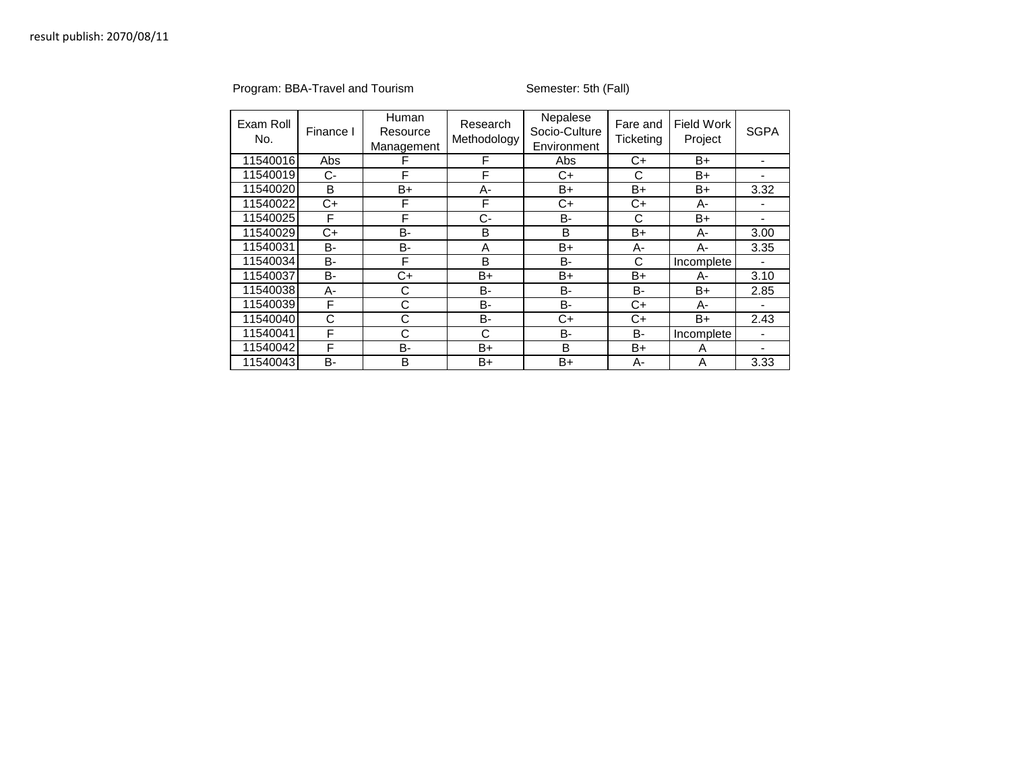## Program: BBA-Travel and Tourism Semester: 5th (Fall)

| Exam Roll<br>No. | Finance I  | Human<br>Resource<br>Management | Research<br>Methodology | Nepalese<br>Socio-Culture<br>Environment | Fare and<br>Ticketing | Field Work<br>Project | <b>SGPA</b> |
|------------------|------------|---------------------------------|-------------------------|------------------------------------------|-----------------------|-----------------------|-------------|
| 11540016         | <b>Abs</b> | F                               | F                       | Abs                                      | $C+$                  | $B+$                  |             |
| 11540019         | $C-$       | F                               | F                       | $C+$                                     | C                     | $B+$                  |             |
| 11540020         | B          | B+                              | А-                      | B+                                       | $B+$                  | $B+$                  | 3.32        |
| 11540022         | C+         | F                               | F                       | $C+$                                     | $C+$                  | A-                    |             |
| 11540025         | F          | F                               | C-                      | B-                                       | С                     | $B+$                  |             |
| 11540029         | C+         | B-                              | B                       | B                                        | $B+$                  | A-                    | 3.00        |
| 11540031         | B-         | B-                              | A                       | $B+$                                     | А-                    | A-                    | 3.35        |
| 11540034         | B-         | F                               | B                       | B-                                       | C                     | Incomplete            |             |
| 11540037         | B-         | $C+$                            | B+                      | B+                                       | $B+$                  | A-                    | 3.10        |
| 11540038         | А-         | С                               | B-                      | B-                                       | B-                    | $B+$                  | 2.85        |
| 11540039         | F          | С                               | B-                      | B-                                       | $C+$                  | A-                    |             |
| 11540040         | С          | С                               | B-                      | $C+$                                     | C+                    | B+                    | 2.43        |
| 11540041         | F          | С                               | С                       | <b>B-</b>                                | B-                    | Incomplete            |             |
| 11540042         | F          | <b>B-</b>                       | B+                      | B                                        | B+                    | A                     |             |
| 11540043         | B-         | B                               | $B+$                    | B+                                       | A-                    | A                     | 3.33        |